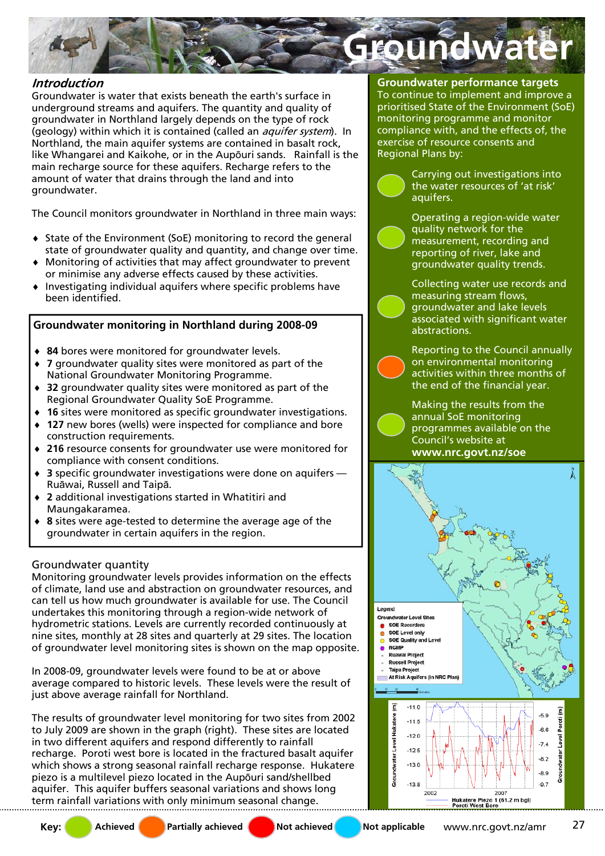

# **Introduction**

Groundwater is water that exists beneath the earth's surface in underground streams and aquifers. The quantity and quality of groundwater in Northland largely depends on the type of rock (geology) within which it is contained (called an *aquifer system*). In Northland, the main aquifer systems are contained in basalt rock, like Whangarei and Kaikohe, or in the Aupōuri sands. Rainfall is the main recharge source for these aquifers. Recharge refers to the amount of water that drains through the land and into groundwater.

The Council monitors groundwater in Northland in three main ways:

- State of the Environment (SoE) monitoring to record the general state of groundwater quality and quantity, and change over time.
- Monitoring of activities that may affect groundwater to prevent or minimise any adverse effects caused by these activities.
- Investigating individual aquifers where specific problems have been identified.

# **Groundwater monitoring in Northland during 2008-09**

- ♦ **84** bores were monitored for groundwater levels.
- ♦ **7** groundwater quality sites were monitored as part of the National Groundwater Monitoring Programme.
- ♦ **32** groundwater quality sites were monitored as part of the Regional Groundwater Quality SoE Programme.
- 16 sites were monitored as specific groundwater investigations.
- ♦ **127** new bores (wells) were inspected for compliance and bore construction requirements.
- ♦ **216** resource consents for groundwater use were monitored for compliance with consent conditions.
- ♦ **3** specific groundwater investigations were done on aquifers Ruāwai, Russell and Taipā.
- 2 additional investigations started in Whatitiri and Maungakaramea.
- ♦ **8** sites were age-tested to determine the average age of the groundwater in certain aquifers in the region.

## Groundwater quantity

Monitoring groundwater levels provides information on the effects of climate, land use and abstraction on groundwater resources, and can tell us how much groundwater is available for use. The Council undertakes this monitoring through a region-wide network of hydrometric stations. Levels are currently recorded continuously at nine sites, monthly at 28 sites and quarterly at 29 sites. The location of groundwater level monitoring sites is shown on the map opposite.

In 2008-09, groundwater levels were found to be at or above average compared to historic levels. These levels were the result of just above average rainfall for Northland.

The results of groundwater level monitoring for two sites from 2002 to July 2009 are shown in the graph (right). These sites are located in two different aquifers and respond differently to rainfall recharge. Poroti west bore is located in the fractured basalt aquifer which shows a strong seasonal rainfall recharge response. Hukatere piezo is a multilevel piezo located in the Aupōuri sand/shellbed aquifer. This aquifer buffers seasonal variations and shows long term rainfall variations with only minimum seasonal change.

**Groundwater performance targets**  To continue to implement and improve a prioritised State of the Environment (SoE) monitoring programme and monitor compliance with, and the effects of, the exercise of resource consents and Regional Plans by:

> Carrying out investigations into the water resources of 'at risk' aquifers.

> Operating a region-wide water quality network for the measurement, recording and reporting of river, lake and groundwater quality trends.

Collecting water use records and measuring stream flows, groundwater and lake levels associated with significant water abstractions.

Reporting to the Council annually on environmental monitoring activities within three months of the end of the financial year.

Making the results from the annual SoE monitoring programmes available on the Council's website at



**Key:** Achieved **Partially achieved** Not achieved Not applicable